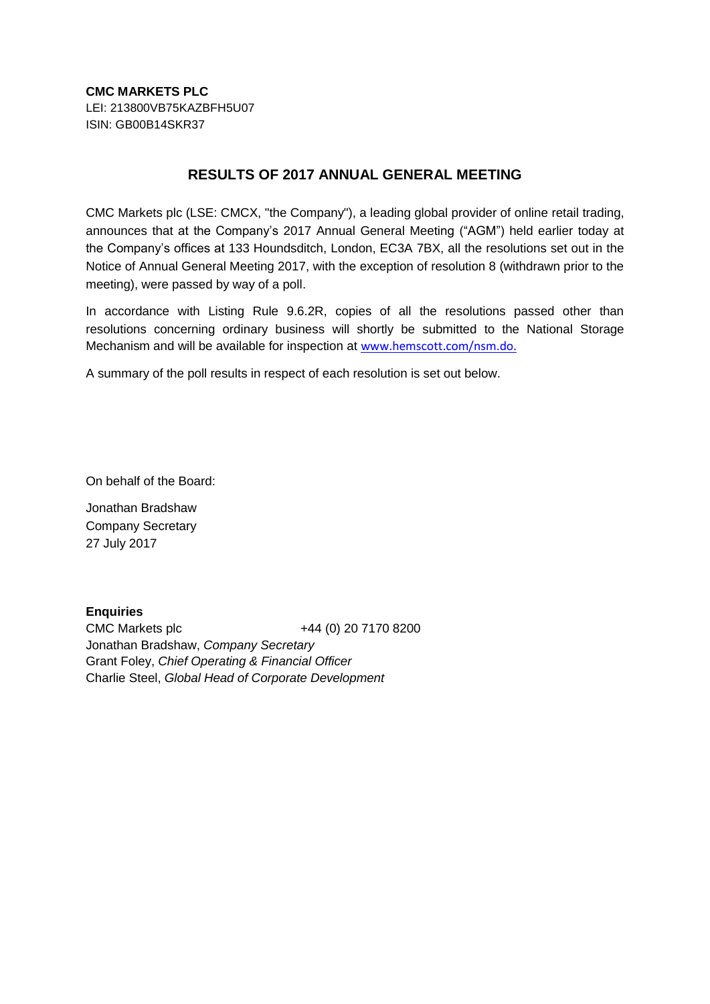**CMC MARKETS PLC** LEI: 213800VB75KAZBFH5U07 ISIN: GB00B14SKR37

## **RESULTS OF 2017 ANNUAL GENERAL MEETING**

CMC Markets plc (LSE: CMCX, "the Company"), a leading global provider of online retail trading, announces that at the Company's 2017 Annual General Meeting ("AGM") held earlier today at the Company's offices at 133 Houndsditch, London, EC3A 7BX, all the resolutions set out in the Notice of Annual General Meeting 2017, with the exception of resolution 8 (withdrawn prior to the meeting), were passed by way of a poll.

In accordance with Listing Rule 9.6.2R, copies of all the resolutions passed other than resolutions concerning ordinary business will shortly be submitted to the National Storage Mechanism and will be available for inspection at [www.hemscott.com/nsm.do.](http://www.hemscott.com/nsm.do)

A summary of the poll results in respect of each resolution is set out below.

On behalf of the Board:

Jonathan Bradshaw Company Secretary 27 July 2017

**Enquiries** CMC Markets plc +44 (0) 20 7170 8200 Jonathan Bradshaw, *Company Secretary* Grant Foley, *Chief Operating & Financial Officer* Charlie Steel, *Global Head of Corporate Development*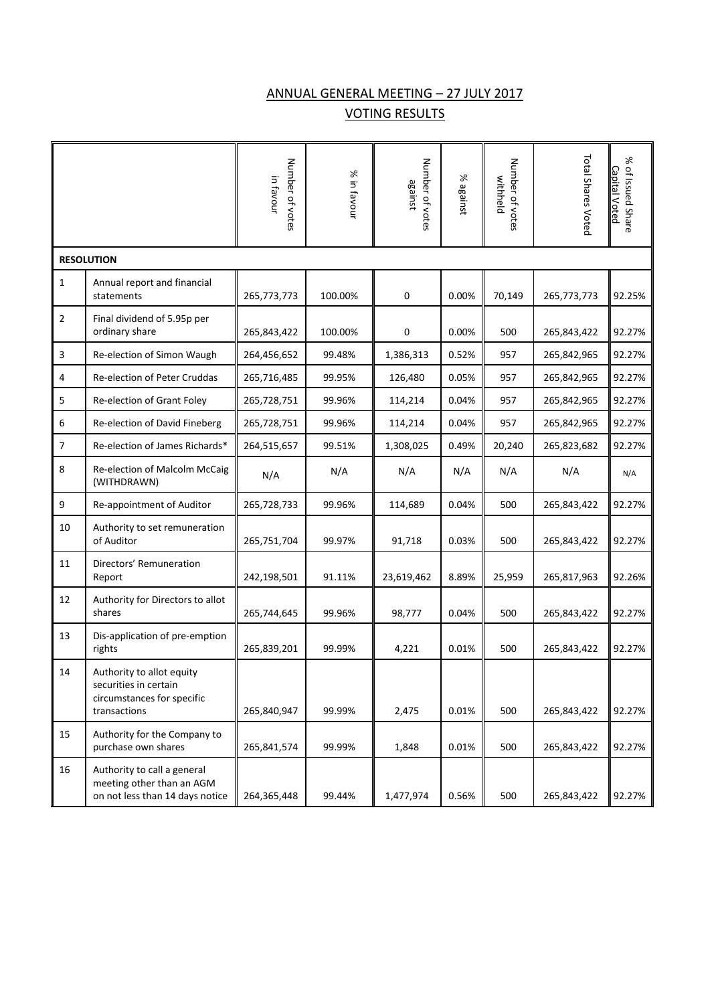## ANNUAL GENERAL MEETING – 27 JULY 2017 VOTING RESULTS

|                   |                                                                                                  | Number of votes<br>in favour | % in favour | Number of votes<br>against | % against | Number of votes<br>withheld | Total Shares Voted | ৯ৎ<br>of Issued Share<br><u>Capital Voted</u> |
|-------------------|--------------------------------------------------------------------------------------------------|------------------------------|-------------|----------------------------|-----------|-----------------------------|--------------------|-----------------------------------------------|
| <b>RESOLUTION</b> |                                                                                                  |                              |             |                            |           |                             |                    |                                               |
| $\mathbf{1}$      | Annual report and financial<br>statements                                                        | 265,773,773                  | 100.00%     | 0                          | 0.00%     | 70,149                      | 265,773,773        | 92.25%                                        |
| 2                 | Final dividend of 5.95p per<br>ordinary share                                                    | 265,843,422                  | 100.00%     | 0                          | 0.00%     | 500                         | 265,843,422        | 92.27%                                        |
| 3                 | Re-election of Simon Waugh                                                                       | 264,456,652                  | 99.48%      | 1,386,313                  | 0.52%     | 957                         | 265,842,965        | 92.27%                                        |
| 4                 | Re-election of Peter Cruddas                                                                     | 265,716,485                  | 99.95%      | 126,480                    | 0.05%     | 957                         | 265,842,965        | 92.27%                                        |
| 5                 | Re-election of Grant Foley                                                                       | 265,728,751                  | 99.96%      | 114,214                    | 0.04%     | 957                         | 265,842,965        | 92.27%                                        |
| 6                 | Re-election of David Fineberg                                                                    | 265,728,751                  | 99.96%      | 114,214                    | 0.04%     | 957                         | 265,842,965        | 92.27%                                        |
| 7                 | Re-election of James Richards*                                                                   | 264,515,657                  | 99.51%      | 1,308,025                  | 0.49%     | 20,240                      | 265,823,682        | 92.27%                                        |
| 8                 | Re-election of Malcolm McCaig<br>(WITHDRAWN)                                                     | N/A                          | N/A         | N/A                        | N/A       | N/A                         | N/A                | N/A                                           |
| 9                 | Re-appointment of Auditor                                                                        | 265,728,733                  | 99.96%      | 114,689                    | 0.04%     | 500                         | 265,843,422        | 92.27%                                        |
| 10                | Authority to set remuneration<br>of Auditor                                                      | 265,751,704                  | 99.97%      | 91,718                     | 0.03%     | 500                         | 265,843,422        | 92.27%                                        |
| 11                | Directors' Remuneration<br>Report                                                                | 242,198,501                  | 91.11%      | 23,619,462                 | 8.89%     | 25,959                      | 265,817,963        | 92.26%                                        |
| 12                | Authority for Directors to allot<br>shares                                                       | 265,744,645                  | 99.96%      | 98,777                     | 0.04%     | 500                         | 265,843,422        | 92.27%                                        |
| 13                | Dis-application of pre-emption<br>rights                                                         | 265,839,201                  | 99.99%      | 4,221                      | 0.01%     | 500                         | 265,843,422        | 92.27%                                        |
| 14                | Authority to allot equity<br>securities in certain<br>circumstances for specific<br>transactions | 265,840,947                  | 99.99%      | 2,475                      | 0.01%     | 500                         | 265,843,422        | 92.27%                                        |
| 15                | Authority for the Company to<br>purchase own shares                                              | 265,841,574                  | 99.99%      | 1,848                      | 0.01%     | 500                         | 265,843,422        | 92.27%                                        |
| 16                | Authority to call a general<br>meeting other than an AGM<br>on not less than 14 days notice      | 264,365,448                  | 99.44%      | 1,477,974                  | 0.56%     | 500                         | 265,843,422        | 92.27%                                        |